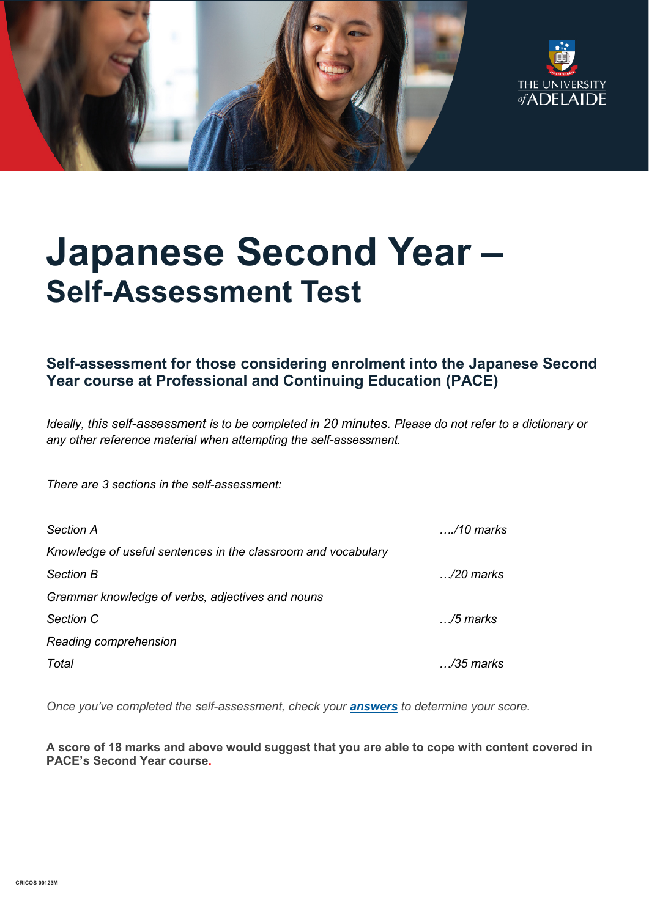



# **Japanese Second Year – Self-Assessment Test**

## **Self-assessment for those considering enrolment into the Japanese Second Year course at Professional and Continuing Education (PACE)**

*Ideally, this self-assessment is to be completed in 20 minutes. Please do not refer to a dictionary or any other reference material when attempting the self-assessment.*

*There are 3 sections in the self-assessment:*

| <b>Section A</b>                                              | …./10 marks        |
|---------------------------------------------------------------|--------------------|
| Knowledge of useful sentences in the classroom and vocabulary |                    |
| <b>Section B</b>                                              | $\ldots$ /20 marks |
| Grammar knowledge of verbs, adjectives and nouns              |                    |
| Section C                                                     | …/5 marks          |
| Reading comprehension                                         |                    |
| Total                                                         | /35 marks          |

*Once you've completed the self-assessment, check your [answers](https://www.adelaide.edu.au/pace/system/files/media/documents/2021-11/placement_test-japanese_year_2_answers.pdf) to determine your score.* 

**A score of 18 marks and above would suggest that you are able to cope with content covered in PACE's Second Year course.**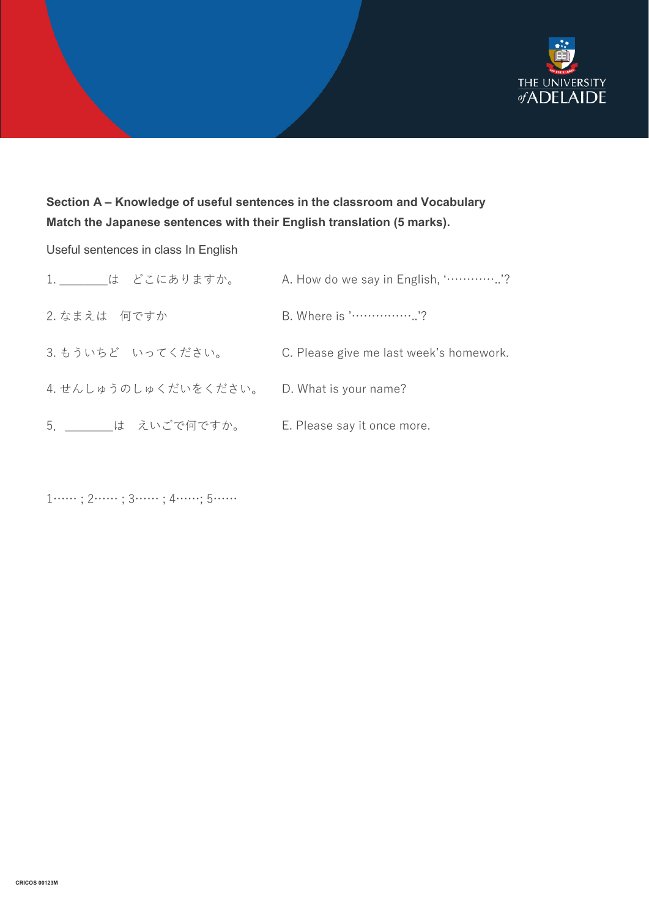

## **Section A – Knowledge of useful sentences in the classroom and Vocabulary Match the Japanese sentences with their English translation (5 marks).**

### Useful sentences in class In English

| 1. は どこにありますか。       | A. How do we say in English, "?         |
|----------------------|-----------------------------------------|
| 2. なまえは 何ですか         | B. Where is '?                          |
| 3. もういちど いってください。    | C. Please give me last week's homework. |
| 4. せんしゅうのしゅくだいをください。 | D. What is your name?                   |
| 5. は えいごで何ですか。       | E. Please say it once more.             |

1…… ; 2…… ; 3…… ; 4……; 5……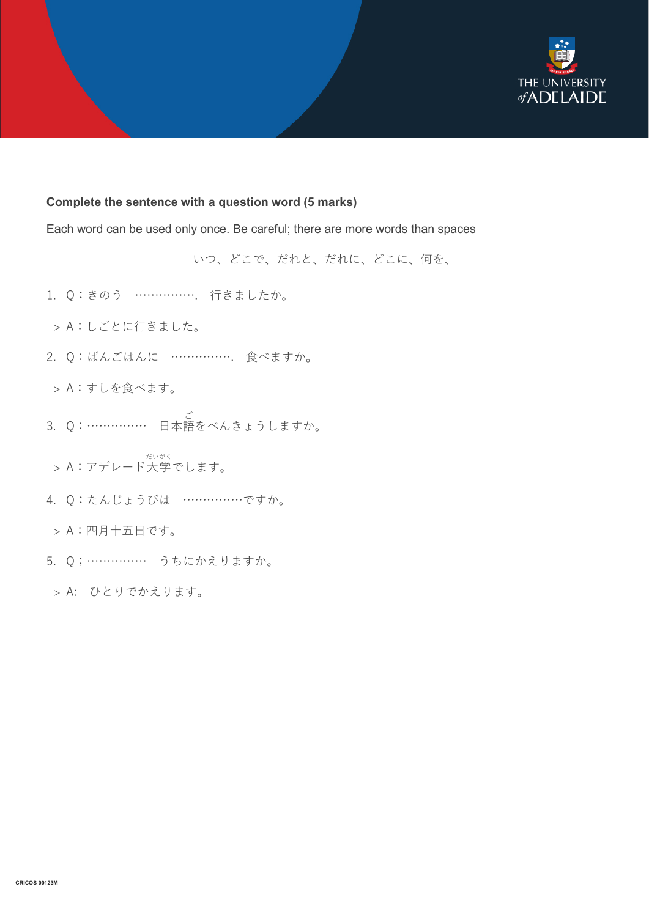

#### **Complete the sentence with a question word (5 marks)**

Each word can be used only once. Be careful; there are more words than spaces

いつ、どこで、だれと、だれに、どこに、何を、

- 1. Q:きのう ……………. 行きましたか。
- > A:しごとに行きました。
- 2. Q:ばんごはんに ……………. 食べますか。
- > A:すしを食べます。
- 3. Q:…………… 日本語 ご をべんきょうしますか。
- > A:アデレード大学 だいがく でします。
- 4. Q:たんじょうびは ……………ですか。
- > A:四月十五日です。
- 5. Q;…………… うちにかえりますか。

> A: ひとりでかえります。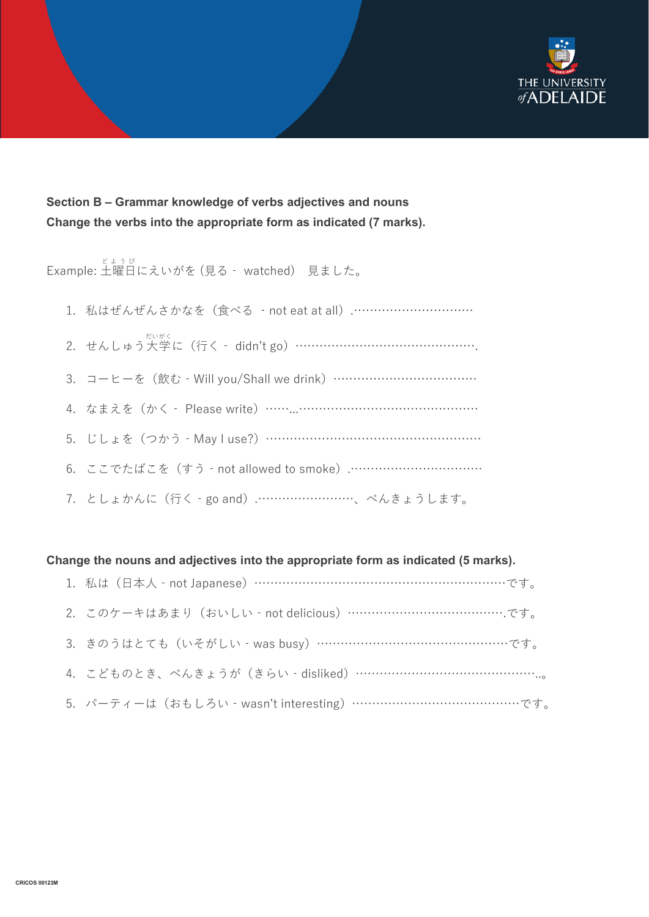

## **Section B – Grammar knowledge of verbs adjectives and nouns Change the verbs into the appropriate form as indicated (7 marks).**

Example: 土曜日 にえいがを (見る‐ watched) 見ました。 どようび

- 1. 私はぜんぜんさかなを(食べる ‐not eat at all).…………………………
- 2. せんしゅう大学 だいがく に(行く‐ didn't go)……………………………………….
- 3. コーヒーを (飲む Will you/Shall we drink) ………………………………………
- 4. なまえを(かく‐ Please write)……...………………………………………
- 5. じしょを(つかう‐May I use?)………………………………………………
- 6. ここでたばこを(すう‐not allowed to smoke).……………………………
- 7. としょかんに(行く‐go and).……………………、べんきょうします。

#### **Change the nouns and adjectives into the appropriate form as indicated (5 marks).**

| 1. 私は (日本人 - not Japanese) …………………………………………………………です。       |
|------------------------------------------------------------|
| 2. このケーキはあまり (おいしい - not delicious) …………………………………………です。    |
| 3. きのうはとても (いそがしい - was busy) ………………………………………………です。        |
| 4. こどものとき、べんきょうが(きらい‐disliked)……………………………………………。           |
| 5. パーティーは (おもしろい - wasn't interesting) …………………………………………です。 |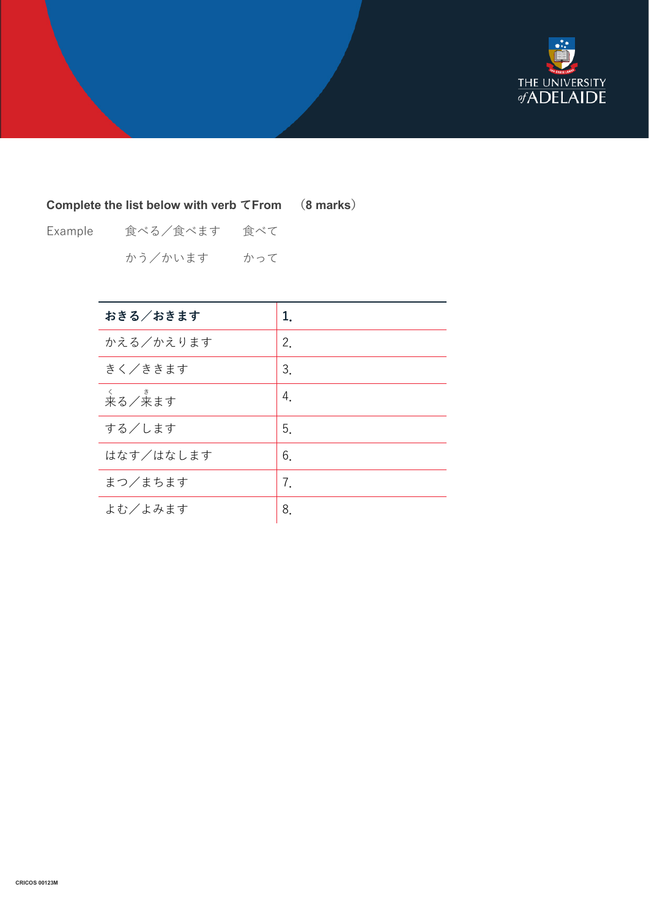

## **Complete the list below with verb てFrom (8 marks)**

Example 食べる/食べます 食べて かう/かいます かって

| おきる/おきます    | 1. |
|-------------|----|
| かえる/かえります   | 2. |
| きく/ききます     | 3. |
| <<br>来る/来ます | 4. |
| する/します      | 5. |
| はなす/はなします   | 6. |
| まつ/まちます     | 7. |
| よむ/よみます     | 8. |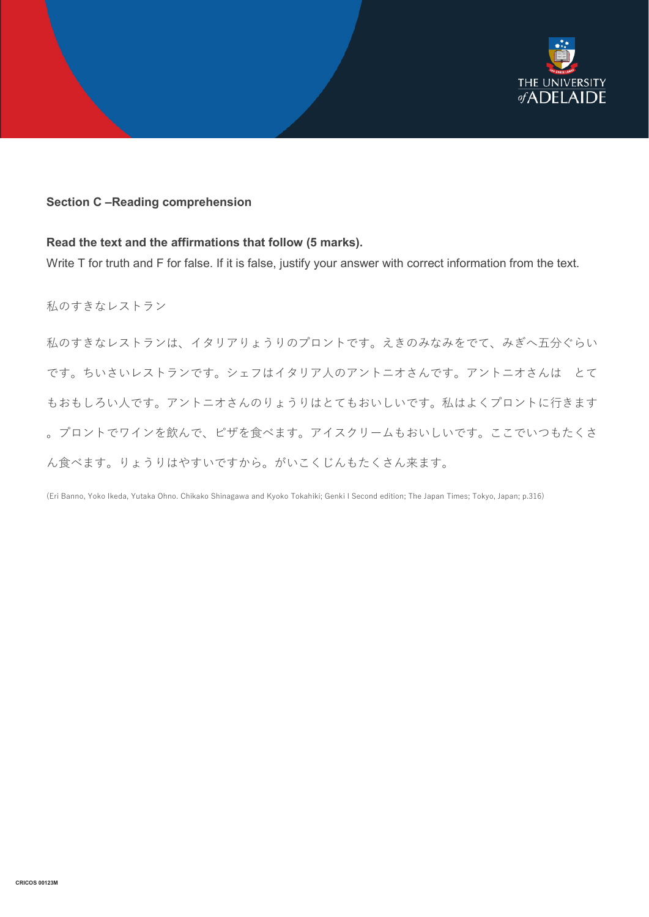

#### **Section C –Reading comprehension**

#### **Read the text and the affirmations that follow (5 marks).**

Write T for truth and F for false. If it is false, justify your answer with correct information from the text.

私のすきなレストラン

私のすきなレストランは、イタリアりょうりのプロントです。えきのみなみをでて、みぎへ五分ぐらい です。ちいさいレストランです。シェフはイタリア人のアントニオさんです。アントニオさんは とて もおもしろい人です。アントニオさんのりょうりはとてもおいしいです。私はよくプロントに行きます 。プロントでワインを飲んで、ピザを食べます。アイスクリームもおいしいです。ここでいつもたくさ ん食べます。りょうりはやすいですから。がいこくじんもたくさん来ます。

(Eri Banno, Yoko Ikeda, Yutaka Ohno. Chikako Shinagawa and Kyoko Tokahiki; Genki I Second edition; The Japan Times; Tokyo, Japan; p.316)